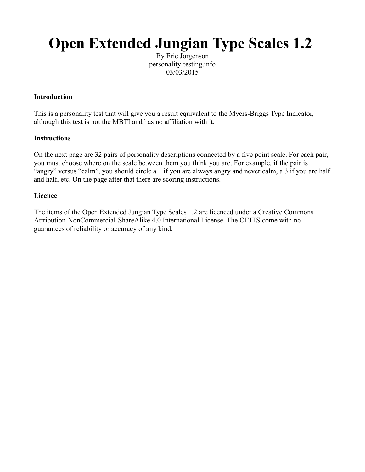## **Open Extended Jungian Type Scales 1.2**

By Eric Jorgenson personality-testing.info 03/03/2015

## **Introduction**

This is a personality test that will give you a result equivalent to the Myers-Briggs Type Indicator, although this test is not the MBTI and has no affiliation with it.

## **Instructions**

On the next page are 32 pairs of personality descriptions connected by a five point scale. For each pair, you must choose where on the scale between them you think you are. For example, if the pair is "angry" versus "calm", you should circle a 1 if you are always angry and never calm, a 3 if you are half and half, etc. On the page after that there are scoring instructions.

## **Licence**

The items of the Open Extended Jungian Type Scales 1.2 are licenced under a Creative Commons Attribution-NonCommercial-ShareAlike 4.0 International License. The OEJTS come with no guarantees of reliability or accuracy of any kind.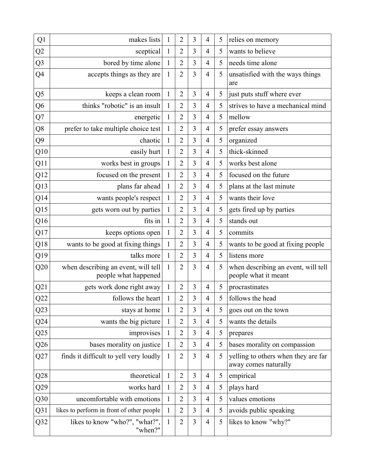| Q1             | makes lists                                                 | 1            | $\overline{2}$ | 3              | 4              | 5 | relies on memory                                            |
|----------------|-------------------------------------------------------------|--------------|----------------|----------------|----------------|---|-------------------------------------------------------------|
| Q2             | sceptical                                                   | $\mathbf{1}$ | 2              | $\mathfrak{Z}$ | 4              | 5 | wants to believe                                            |
| Q <sub>3</sub> | bored by time alone                                         | $\mathbf{1}$ | $\overline{2}$ | 3              | $\overline{4}$ | 5 | needs time alone                                            |
| Q4             | accepts things as they are                                  | $\mathbf{1}$ | $\overline{2}$ | 3              | $\overline{4}$ | 5 | unsatisfied with the ways things<br>are                     |
| Q5             | keeps a clean room                                          | $\mathbf{1}$ | $\overline{2}$ | 3              | 4              | 5 | just puts stuff where ever                                  |
| Q <sub>6</sub> | thinks "robotic" is an insult                               | $\mathbf{1}$ | $\overline{2}$ | 3              | $\overline{4}$ | 5 | strives to have a mechanical mind                           |
| Q7             | energetic                                                   | $\mathbf{1}$ | $\overline{2}$ | 3              | $\overline{4}$ | 5 | mellow                                                      |
| Q <sub>8</sub> | prefer to take multiple choice test                         | $\mathbf{1}$ | $\overline{2}$ | 3              | $\overline{4}$ | 5 | prefer essay answers                                        |
| Q9             | chaotic                                                     | $\mathbf{1}$ | $\overline{2}$ | 3              | 4              | 5 | organized                                                   |
| Q10            | easily hurt                                                 | $\mathbf{1}$ | 2              | 3              | 4              | 5 | thick-skinned                                               |
| Q11            | works best in groups                                        | $\mathbf{1}$ | $\overline{2}$ | 3              | $\overline{4}$ | 5 | works best alone                                            |
| Q12            | focused on the present                                      | $\mathbf{1}$ | $\overline{2}$ | 3              | $\overline{4}$ | 5 | focused on the future                                       |
| Q13            | plans far ahead                                             | $\mathbf{1}$ | $\overline{2}$ | 3              | $\overline{4}$ | 5 | plans at the last minute                                    |
| Q14            | wants people's respect                                      | $\mathbf{1}$ | $\overline{2}$ | 3              | $\overline{4}$ | 5 | wants their love                                            |
| Q15            | gets worn out by parties                                    | 1            | $\overline{2}$ | 3              | $\overline{4}$ | 5 | gets fired up by parties                                    |
| Q16            | fits in                                                     | $\mathbf{1}$ | $\overline{2}$ | 3              | $\overline{4}$ | 5 | stands out                                                  |
| Q17            | keeps options open                                          | $\mathbf{1}$ | $\overline{2}$ | 3              | $\overline{4}$ | 5 | commits                                                     |
| Q18            | wants to be good at fixing things                           | 1            | $\overline{2}$ | 3              | $\overline{4}$ | 5 | wants to be good at fixing people                           |
| Q19            | talks more                                                  | $\mathbf{1}$ | $\overline{2}$ | 3              | $\overline{4}$ | 5 | listens more                                                |
| Q20            | when describing an event, will tell<br>people what happened | $\mathbf{1}$ | $\overline{2}$ | 3              | 4              | 5 | when describing an event, will tell<br>people what it meant |
| Q21            | gets work done right away                                   | $\mathbf{1}$ | $\overline{2}$ | 3              | 4              | 5 | procrastinates                                              |
| Q22            | follows the heart                                           |              | $\overline{2}$ | 3              | 4              | 5 | follows the head                                            |
| Q23            | stays at home                                               | $\mathbf{1}$ | $\overline{2}$ | 3              | $\overline{4}$ | 5 | goes out on the town                                        |
| Q24            | wants the big picture                                       | $\mathbf{1}$ | $\overline{2}$ | 3              | $\overline{4}$ | 5 | wants the details                                           |
| Q25            | improvises                                                  | $\mathbf{1}$ | $\overline{2}$ | 3              | $\overline{4}$ | 5 | prepares                                                    |
| Q26            | bases morality on justice                                   | $\mathbf{1}$ | $\overline{2}$ | 3              | 4              | 5 | bases morality on compassion                                |
| Q27            | finds it difficult to yell very loudly                      | 1            | $\overline{2}$ | 3              | $\overline{4}$ | 5 | yelling to others when they are far<br>away comes naturally |
| Q28            | theoretical                                                 | $\mathbf{1}$ | $\overline{2}$ | 3              | $\overline{4}$ | 5 | empirical                                                   |
| Q29            | works hard                                                  | $\mathbf{1}$ | $\overline{2}$ | 3              | 4              | 5 | plays hard                                                  |
| Q30            | uncomfortable with emotions                                 | $\mathbf{1}$ | $\overline{2}$ | 3              | 4              | 5 | values emotions                                             |
| Q31            | likes to perform in front of other people                   | $\mathbf{1}$ | $\overline{2}$ | 3              | $\overline{4}$ | 5 | avoids public speaking                                      |
| Q32            | likes to know "who?", "what?",<br>"when?"                   | $\mathbf{1}$ | $\overline{2}$ | $\mathfrak{Z}$ | $\overline{4}$ | 5 | likes to know "why?"                                        |